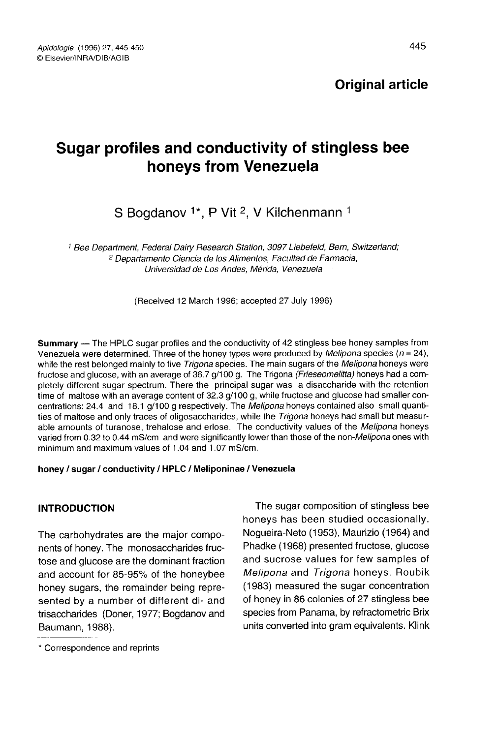# Sugar profiles and conductivity of stingless bee honeys from Venezuela

## S Bogdanov <sup>1\*</sup>, P Vit <sup>2</sup>, V Kilchenmann <sup>1</sup>

<sup>1</sup> Bee Department, Federal Dairy Research Station, 3097 Liebefeld, Bern, Switzerland; <sup>2</sup> Departamento Ciencia de los Alimentos, Facultad de Farmacia, Universidad de Los Andes, Mérida, Venezuela

(Received 12 March 1996; accepted 27 July 1996)

Summary — The HPLC sugar profiles and the conductivity of 42 stingless bee honey samples from Venezuela were determined. Three of the honey types were produced by *Melipona* species ( $n = 24$ ), while the rest belonged mainly to five Trigona species. The main sugars of the Melipona honeys were fructose and glucose, with an average of 36.7 g/100 g. The Trigona (Frieseomelitta) honeys had a completely different sugar spectrum. There the principal sugar was a disaccharide with the retention time of maltose with an average content of 32.3 g/100 g, while fructose and glucose had smaller concentrations: 24.4 and 18.1 g/100 g respectively. The Melipona honeys contained also small quantities of maltose and only traces of oligosaccharides, while the Trigona honeys had small but measurable amounts of turanose, trehalose and erlose. The conductivity values of the Melipona honeys varied from 0.32 to 0.44 mS/cm and were significantly lower than those of the non-Melipona ones with minimum and maximum values of 1.04 and 1.07 mS/cm.

#### honey / sugar / conductivity / HPLC / Meliponinae / Venezuela

## INTRODUCTION

The carbohydrates are the major components of honey. The monosaccharides fructose and glucose are the dominant fraction and account for 85-95% of the honeybee honey sugars, the remainder being represented by a number of different di- and trisaccharides (Doner, 1977; Bogdanov and Baumann, 1988).

The sugar composition of stingless bee honeys has been studied occasionally. Nogueira-Neto (1953), Maurizio (1964) and Phadke (1968) presented fructose, glucose and sucrose values for few samples of Melipona and Trigona honeys. Roubik (1983) measured the sugar concentration of honey in 86 colonies of 27 stingless bee species from Panama, by refractometric Brix units converted into gram equivalents. Klink

<sup>\*</sup> Correspondence and reprints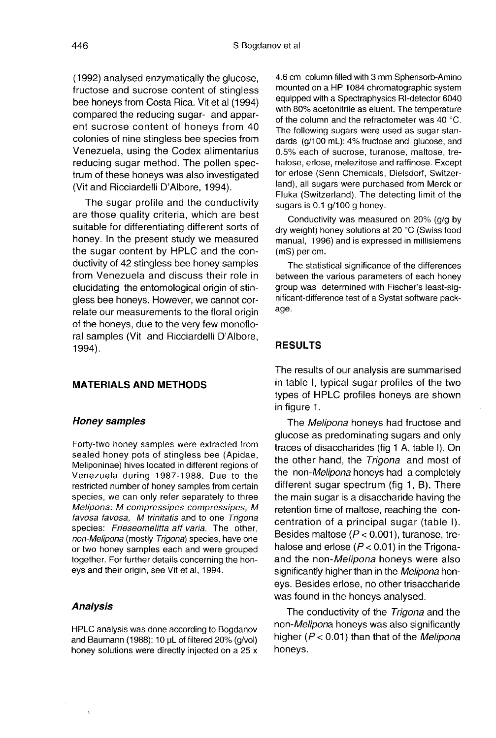(1992) analysed enzymatically the glucose, fructose and sucrose content of stingless bee honeys from Costa Rica. Vit et al (1994) compared the reducing sugar- and apparent sucrose content of honeys from 40 colonies of nine stingless bee species from Venezuela, using the Codex alimentarius reducing sugar method. The pollen spectrum of these honeys was also investigated (Vit and Ricciardelli D'Albore, 1994).

The sugar profile and the conductivity are those quality criteria, which are best suitable for differentiating different sorts of honey. In the present study we measured the sugar content by HPLC and the conductivity of 42 stingless bee honey samples from Venezuela and discuss their role in elucidating the entomological origin of stingless bee honeys. However, we cannot correlate our measurements to the floral origin of the honeys, due to the very few monofloral samples (Vit and Ricciardelli D'Albore, 1994).

#### MATERIALS AND METHODS

#### Honey samples

Forty-two honey samples were extracted from sealed honey pots of stingless bee (Apidae, Meliponinae) hives located in different regions of Venezuela during 1987-1988. Due to the restricted number of honey samples from certain species, we can only refer separately to three Melipona: M compressipes compressipes, M favosa favosa, M trinitatis and to one Trigona species: Frieseomelitta aff varia. The other, non-Melipona (mostly Trigona) species, have one or two honey samples each and were grouped together. For further details concerning the honeys and their origin, see Vit et al, 1994.

#### Analysis

HPLC analysis was done according to Bogdanov and Baumann (1988): 10 μL of filtered 20% (g/vol) honey solutions were directly injected on a 25 x

4.6 cm column filled with 3 mm Spherisorb-Amino mounted on a HP 1084 chromatographic system equipped with a Spectraphysics RI-detector 6040 with 80% acetonitrile as eluent. The temperature of the column and the refractometer was 40 °C. The following sugars were used as sugar standards (g/100 mL): 4% fructose and glucose, and 0.5% each of sucrose, turanose, maltose, trehalose, erlose, melezitose and raffinose. Except for erlose (Senn Chemicals, Dielsdorf, Switzerland), all sugars were purchased from Merck or Fluka (Switzerland). The detecting limit of the sugars is 0.1 g/100 g honey.

Conductivity was measured on 20% (g/g by dry weight) honey solutions at 20 °C (Swiss food manual, 1996) and is expressed in millisiemens (mS) per cm.

The statistical significance of the differences between the various parameters of each honey group was determined with Fischer's least-significant-difference test of a Systat software package.

#### RESULTS

The results of our analysis are summarised in table I, typical sugar profiles of the two types of HPLC profiles honeys are shown in figure 1.

The Melipona honeys had fructose and glucose as predominating sugars and only traces of disaccharides (fig 1 A, table I). On the other hand, the Trigona and most of the non-Melipona honeys had a completely different sugar spectrum (fig 1, B). There the main sugar is a disaccharide having the retention time of maltose, reaching the concentration of a principal sugar (table I). Besides maltose ( $P < 0.001$ ), turanose, trehalose and erlose ( $P < 0.01$ ) in the Trigonaand the non-Melipona honeys were also significantly higher than in the Melipona honeys. Besides erlose, no other trisaccharide was found in the honeys analysed.

The conductivity of the Trigona and the non-Melipona honeys was also significantly higher  $(P < 0.01)$  than that of the *Melipona* honeys.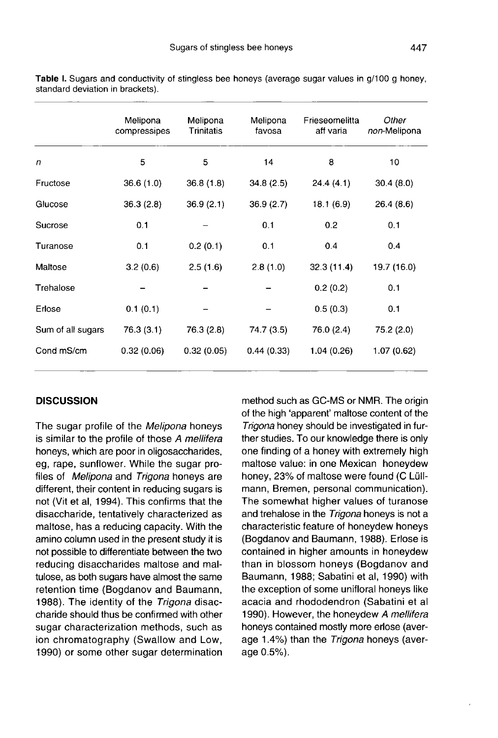|                   | Melipona<br>compressipes | Melipona<br>Trinitatis | Melipona<br>favosa | Frieseomelitta<br>aff varia | Other<br>non-Melipona |
|-------------------|--------------------------|------------------------|--------------------|-----------------------------|-----------------------|
| $\mathsf{n}$      | 5                        | 5                      | 14                 | 8                           | 10                    |
| Fructose          | 36.6(1.0)                | 36.8(1.8)              | 34.8(2.5)          | 24.4(4.1)                   | 30.4(8.0)             |
| Glucose           | 36.3(2.8)                | 36.9(2.1)              | 36.9(2.7)          | 18.1(6.9)                   | 26.4(8.6)             |
| Sucrose           | 0.1                      |                        | 0.1                | 0.2                         | 0.1                   |
| Turanose          | 0.1                      | 0.2(0.1)               | 0,1                | 0.4                         | 0.4                   |
| Maltose           | 3.2(0.6)                 | 2.5(1.6)               | 2.8(1.0)           | 32.3(11.4)                  | 19.7 (16.0)           |
| Trehalose         |                          |                        |                    | 0.2(0.2)                    | 0.1                   |
| Erlose            | 0.1(0.1)                 |                        |                    | 0.5(0.3)                    | 0.1                   |
| Sum of all sugars | 76.3 (3.1)               | 76.3 (2.8)             | 74.7 (3.5)         | 76.0 (2.4)                  | 75.2 (2.0)            |
| Cond mS/cm        | 0.32(0.06)               | 0.32(0.05)             | 0.44(0.33)         | 1.04 (0.26)                 | 1.07 (0.62)           |

Table I. Sugars and conductivity of stingless bee honeys (average sugar values in g/100 g honey, standard deviation in brackets).

#### **DISCUSSION**

The sugar profile of the Melipona honeys is similar to the profile of those A mellifera honeys, which are poor in oligosaccharides, eg, rape, sunflower. While the sugar profiles of Melipona and Trigona honeys are different, their content in reducing sugars is not (Vit et al, 1994). This confirms that the disaccharide, tentatively characterized as maltose, has a reducing capacity. With the amino column used in the present study it is not possible to differentiate between the two reducing disaccharides maltose and maltulose, as both sugars have almost the same retention time (Bogdanov and Baumann, 1988). The identity of the Trigona disaccharide should thus be confirmed with other sugar characterization methods, such as ion chromatography (Swallow and Low, 1990) or some other sugar determination

method such as GC-MS or NMR. The origin of the high 'apparent' maltose content of the Trigona honey should be investigated in further studies. To our knowledge there is only one finding of a honey with extremely high maltose value: in one Mexican honeydew honey, 23% of maltose were found (C Lüllmann, Bremen, personal communication). The somewhat higher values of turanose and trehalose in the Trigona honeys is not a characteristic feature of honeydew honeys (Bogdanov and Baumann, 1988). Erlose is contained in higher amounts in honeydew than in blossom honeys (Bogdanov and Baumann, 1988; Sabatini et al, 1990) with the exception of some unifloral honeys like acacia and rhododendron (Sabatini et al 1990). However, the honeydew A mellifera honeys contained mostly more erlose (average 1.4%) than the Trigona honeys (average 0.5%).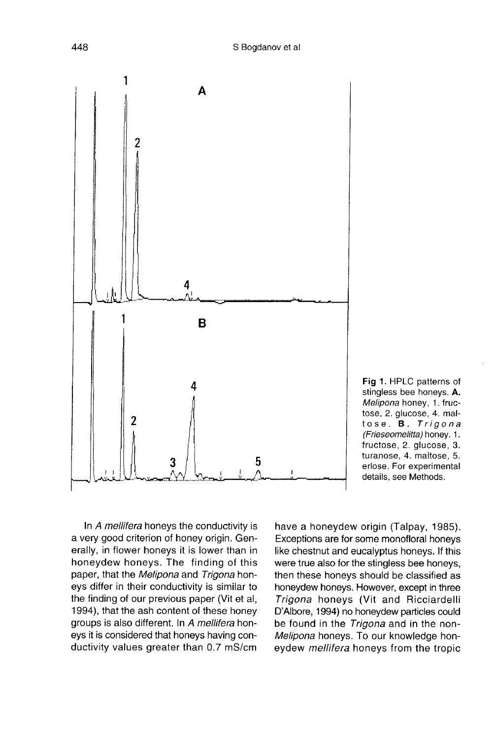

Fig 1. HPLC patterns of stingless bee honeys. A. Melipona honey, 1. fructose, 2. glucose, 4. maltose. **B.** Trigona (Frieseomelitta) honey. 1. fructose, 2. glucose, 3. turanose, 4. maltose, 5. erlose. For experimental details, see Methods.

In A mellifera honeys the conductivity is a very good criterion of honey origin. Generally, in flower honeys it is lower than in honeydew honeys. The finding of this paper, that the Melipona and Trigona honeys differ in their conductivity is similar to the finding of our previous paper (Vit et al, 1994), that the ash content of these honey groups is also different. In A mellifera honeys it is considered that honeys having conductivity values greater than 0.7 mS/cm

have a honeydew origin (Talpay, 1985). Exceptions are for some monofloral honeys like chestnut and eucalyptus honeys. If this were true also for the stingless bee honeys, then these honeys should be classified as honeydew honeys. However, except in three Trigona honeys (Vit and Ricciardelli D'Albore, 1994) no honeydew particles could be found in the Trigona and in the non-Melipona honeys. To our knowledge honeydew *mellifera* honeys from the tropic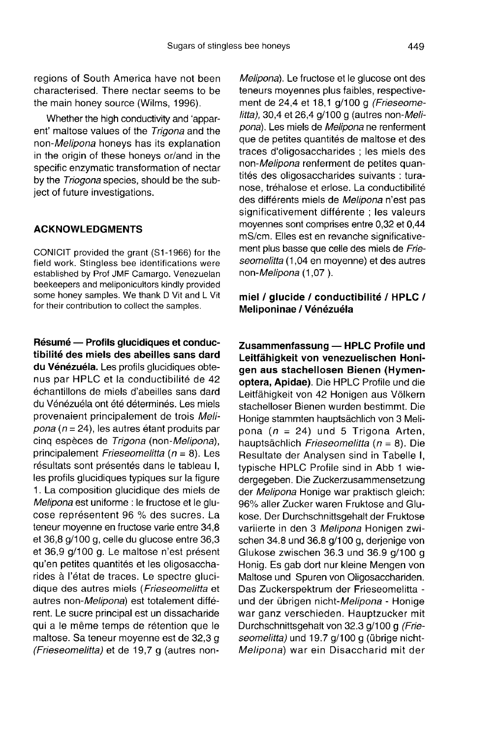regions of South America have not been characterised. There nectar seems to be the main honey source (Wilms, 1996).

Whether the high conductivity and 'apparent' maltose values of the Trigona and the non-Melipona honeys has its explanation in the origin of these honeys or/and in the specific enzymatic transformation of nectar by the Triogona species, should be the subject of future investigations.

#### ACKNOWLEDGMENTS

CONICIT provided the grant (S1-1966) for the field work. Stingless bee identifications were established by Prof JMF Camargo. Venezuelan some honey samples. We thank D Vit and L Vit for their contribution to collect the samples.

Résumé — Profils glucidiques et conductibilité des miels des abeilles sans dard du Vénézuéla. Les profils glucidiques obtenus par HPLC et la conductibilité de 42 échantillons de miels d'abeilles sans dard du Vénézuéla ont été déterminés. Les miels provenaient principalement de trois Melipona ( $n = 24$ ), les autres étant produits par cinq espèces de Trigona (non-Melipona), principalement Frieseomelitta (n = 8). Les résultats sont présentés dans le tableau I, les profils glucidiques typiques sur la figure 1. La composition glucidique des miels de Melipona est uniforme : le fructose et le glu-<br>cose représentent 96 % des sucres. La teneur moyenne en fructose varie entre 34,8 et 36,8 g/1 00 g, celle du glucose entre 36,3 et 36,9 g/100 g. Le maltose n'est présent qu'en petites quantités et les oligosaccharides à l'état de traces. Le spectre glucidique des autres miels (Frieseomelitta et autres non-Melipona) est totalement différent. Le sucre principal est un dissacharide qui a le même temps de rétention que le maltose. Sa teneur moyenne est de 32,3 g (Frieseomelitta) et de 19,7 g (autres non-

Melipona). Le fructose et le glucose ont des teneurs moyennes plus faibles, respective ment de 24,4 et 18,1 g/100 g (Frieseome $l$ itta), 30,4 et 26,4 g/100 g (autres non-Melipona). Les miels de Melipona ne renferment que de petites quantités de maltose et des traces d'oligosaccharides ; les miels des non-Melipona renferment de petites quantités des oligosaccharides suivants : turanose, tréhalose et erlose. La conductibilité des différents miels de Melipona n'est pas significativement différente ; les valeurs moyennes sont comprises entre 0,32 et 0,44 mS/cm. Elles est en revanche significative ment plus basse que celle des miels de Frieseomelitta (1,04 en moyenne) et des autres non-Melipona (1,07 ).

#### miel / glucide / conductibilité / HPLC / Meliponinae / Vénézuéla

Zusammenfassung — HPLC Profile und Leitfähigkeit von venezuelischen Honigen aus stachellosen Bienen (Hymenoptera, Apidae). Die HPLC Profile und die Leitfähigkeit von 42 Honigen aus Völkern stachelloser Bienen wurden bestimmt. Die Honige stammten hauptsächlich von 3 Melipona ( $n = 24$ ) und 5 Trigona Arten, hauptsächlich Frieseomelitta (n = 8). Die Resultate der Analysen sind in Tabelle I, typische HPLC Profile sind in Abb 1 wiedergegeben. Die Zuckerzusammensetzung der Melipona Honige war praktisch gleich: 96% aller Zucker waren Fruktose and Glukose. Der Durchschnittsgehalt der Fruktose variierte in den 3 Melipona Honigen zwischen 34.8 und 36.8 g/100 g, derjenige von Glukose zwischen 36.3 und 36.9 g/100 g Honig. Es gab dort nur kleine Mengen von Maltose und Spuren von Oligosacchariden. Das Zuckerspektrum der Frieseomelitta und der übrigen nicht-Melipona - Honige war ganz verschieden. Hauptzucker mit Durchschnittsgehalt von 32.3 g/1 00 g (Frieseomelitta) und 19.7 g/100 g (übrige nicht-Melipona) war ein Disaccharid mit der